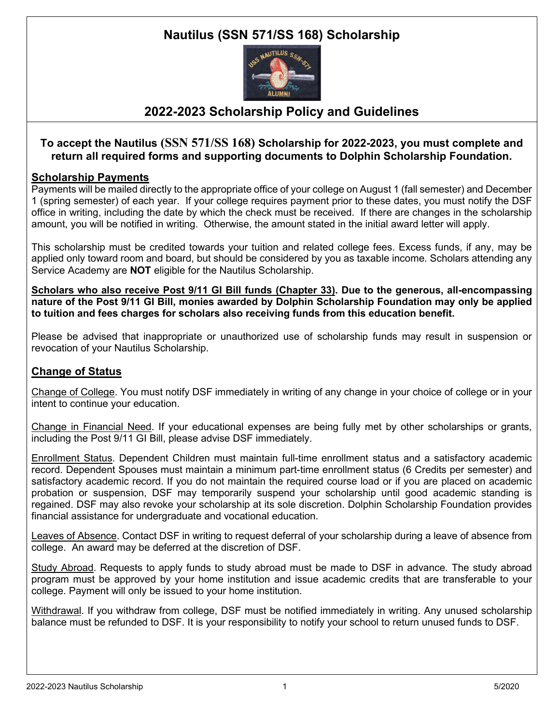# **Nautilus (SSN 571/SS 168) Scholarship**



## **2022-2023 Scholarship Policy and Guidelines**

### **To accept the Nautilus (SSN 571/SS 168) Scholarship for 2022-2023, you must complete and return all required forms and supporting documents to Dolphin Scholarship Foundation.**

### **Scholarship Payments**

Payments will be mailed directly to the appropriate office of your college on August 1 (fall semester) and December 1 (spring semester) of each year. If your college requires payment prior to these dates, you must notify the DSF office in writing, including the date by which the check must be received. If there are changes in the scholarship amount, you will be notified in writing. Otherwise, the amount stated in the initial award letter will apply.

This scholarship must be credited towards your tuition and related college fees. Excess funds, if any, may be applied only toward room and board, but should be considered by you as taxable income. Scholars attending any Service Academy are **NOT** eligible for the Nautilus Scholarship.

**Scholars who also receive Post 9/11 GI Bill funds (Chapter 33). Due to the generous, all-encompassing nature of the Post 9/11 GI Bill, monies awarded by Dolphin Scholarship Foundation may only be applied to tuition and fees charges for scholars also receiving funds from this education benefit.**

Please be advised that inappropriate or unauthorized use of scholarship funds may result in suspension or revocation of your Nautilus Scholarship.

### **Change of Status**

Change of College. You must notify DSF immediately in writing of any change in your choice of college or in your intent to continue your education.

Change in Financial Need. If your educational expenses are being fully met by other scholarships or grants, including the Post 9/11 GI Bill, please advise DSF immediately.

Enrollment Status. Dependent Children must maintain full-time enrollment status and a satisfactory academic record. Dependent Spouses must maintain a minimum part-time enrollment status (6 Credits per semester) and satisfactory academic record. If you do not maintain the required course load or if you are placed on academic probation or suspension, DSF may temporarily suspend your scholarship until good academic standing is regained. DSF may also revoke your scholarship at its sole discretion. Dolphin Scholarship Foundation provides financial assistance for undergraduate and vocational education.

Leaves of Absence. Contact DSF in writing to request deferral of your scholarship during a leave of absence from college. An award may be deferred at the discretion of DSF.

Study Abroad. Requests to apply funds to study abroad must be made to DSF in advance. The study abroad program must be approved by your home institution and issue academic credits that are transferable to your college. Payment will only be issued to your home institution.

Withdrawal. If you withdraw from college, DSF must be notified immediately in writing. Any unused scholarship balance must be refunded to DSF. It is your responsibility to notify your school to return unused funds to DSF.